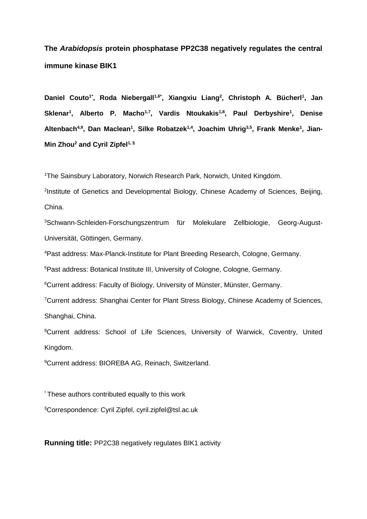# **The** *Arabidopsis* **protein phosphatase PP2C38 negatively regulates the central immune kinase BIK1**

**Daniel Couto1\*, Roda Niebergall1,6\*, Xiangxiu Liang<sup>2</sup> , Christoph A. Bücherl<sup>1</sup> , Jan Sklenar<sup>1</sup> , Alberto P. Macho1,7, Vardis Ntoukakis1,8 , Paul Derbyshire<sup>1</sup> , Denise Altenbach4,9 , Dan Maclean<sup>1</sup> , Silke Robatzek1,4, Joachim Uhrig3,5, Frank Menke<sup>1</sup> , Jian-Min Zhou<sup>2</sup> and Cyril Zipfel1, §**

<sup>1</sup>The Sainsbury Laboratory, Norwich Research Park, Norwich, United Kingdom.

2 Institute of Genetics and Developmental Biology, Chinese Academy of Sciences, Beijing, China.

3Schwann-Schleiden-Forschungszentrum für Molekulare Zellbiologie, Georg-August-Universität, Göttingen, Germany.

<sup>4</sup>Past address: Max-Planck-Institute for Plant Breeding Research, Cologne, Germany.

<sup>5</sup>Past address: Botanical Institute III, University of Cologne, Cologne, Germany.

<sup>6</sup>Current address: Faculty of Biology, University of Münster, Münster, Germany.

<sup>7</sup>Current address: Shanghai Center for Plant Stress Biology, Chinese Academy of Sciences, Shanghai, China.

<sup>8</sup>Current address: School of Life Sciences, University of Warwick, Coventry, United Kingdom.

<sup>9</sup>Current address: BIOREBA AG, Reinach, Switzerland.

\* These authors contributed equally to this work

§Correspondence: Cyril Zipfel, cyril.zipfel@tsl.ac.uk

**Running title:** PP2C38 negatively regulates BIK1 activity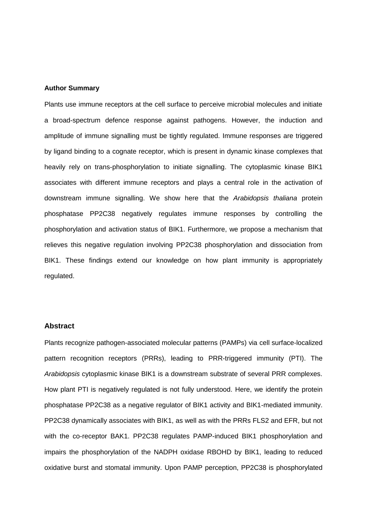#### **Author Summary**

Plants use immune receptors at the cell surface to perceive microbial molecules and initiate a broad-spectrum defence response against pathogens. However, the induction and amplitude of immune signalling must be tightly regulated. Immune responses are triggered by ligand binding to a cognate receptor, which is present in dynamic kinase complexes that heavily rely on trans-phosphorylation to initiate signalling. The cytoplasmic kinase BIK1 associates with different immune receptors and plays a central role in the activation of downstream immune signalling. We show here that the *Arabidopsis thaliana* protein phosphatase PP2C38 negatively regulates immune responses by controlling the phosphorylation and activation status of BIK1. Furthermore, we propose a mechanism that relieves this negative regulation involving PP2C38 phosphorylation and dissociation from BIK1. These findings extend our knowledge on how plant immunity is appropriately regulated.

#### **Abstract**

Plants recognize pathogen-associated molecular patterns (PAMPs) via cell surface-localized pattern recognition receptors (PRRs), leading to PRR-triggered immunity (PTI). The *Arabidopsis* cytoplasmic kinase BIK1 is a downstream substrate of several PRR complexes. How plant PTI is negatively regulated is not fully understood. Here, we identify the protein phosphatase PP2C38 as a negative regulator of BIK1 activity and BIK1-mediated immunity. PP2C38 dynamically associates with BIK1, as well as with the PRRs FLS2 and EFR, but not with the co-receptor BAK1. PP2C38 regulates PAMP-induced BIK1 phosphorylation and impairs the phosphorylation of the NADPH oxidase RBOHD by BIK1, leading to reduced oxidative burst and stomatal immunity. Upon PAMP perception, PP2C38 is phosphorylated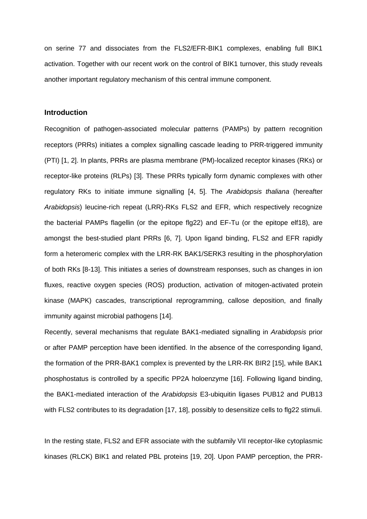on serine 77 and dissociates from the FLS2/EFR-BIK1 complexes, enabling full BIK1 activation. Together with our recent work on the control of BIK1 turnover, this study reveals another important regulatory mechanism of this central immune component.

## **Introduction**

Recognition of pathogen-associated molecular patterns (PAMPs) by pattern recognition receptors (PRRs) initiates a complex signalling cascade leading to PRR-triggered immunity (PTI) [1, 2]. In plants, PRRs are plasma membrane (PM)-localized receptor kinases (RKs) or receptor-like proteins (RLPs) [3]. These PRRs typically form dynamic complexes with other regulatory RKs to initiate immune signalling [4, 5]. The *Arabidopsis thaliana* (hereafter *Arabidopsis*) leucine-rich repeat (LRR)-RKs FLS2 and EFR, which respectively recognize the bacterial PAMPs flagellin (or the epitope flg22) and EF-Tu (or the epitope elf18), are amongst the best-studied plant PRRs [6, 7]. Upon ligand binding, FLS2 and EFR rapidly form a heteromeric complex with the LRR-RK BAK1/SERK3 resulting in the phosphorylation of both RKs [8-13]. This initiates a series of downstream responses, such as changes in ion fluxes, reactive oxygen species (ROS) production, activation of mitogen-activated protein kinase (MAPK) cascades, transcriptional reprogramming, callose deposition, and finally immunity against microbial pathogens [14].

Recently, several mechanisms that regulate BAK1-mediated signalling in *Arabidopsis* prior or after PAMP perception have been identified. In the absence of the corresponding ligand, the formation of the PRR-BAK1 complex is prevented by the LRR-RK BIR2 [15], while BAK1 phosphostatus is controlled by a specific PP2A holoenzyme [16]. Following ligand binding, the BAK1-mediated interaction of the *Arabidopsis* E3-ubiquitin ligases PUB12 and PUB13 with FLS2 contributes to its degradation [17, 18], possibly to desensitize cells to flg22 stimuli.

In the resting state, FLS2 and EFR associate with the subfamily VII receptor-like cytoplasmic kinases (RLCK) BIK1 and related PBL proteins [19, 20]. Upon PAMP perception, the PRR-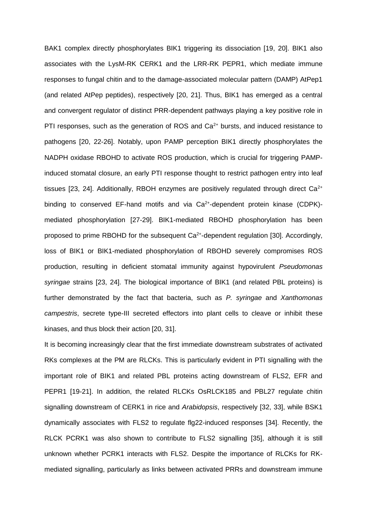BAK1 complex directly phosphorylates BIK1 triggering its dissociation [19, 20]. BIK1 also associates with the LysM-RK CERK1 and the LRR-RK PEPR1, which mediate immune responses to fungal chitin and to the damage-associated molecular pattern (DAMP) AtPep1 (and related AtPep peptides), respectively [20, 21]. Thus, BIK1 has emerged as a central and convergent regulator of distinct PRR-dependent pathways playing a key positive role in PTI responses, such as the generation of ROS and  $Ca<sup>2+</sup>$  bursts, and induced resistance to pathogens [20, 22-26]. Notably, upon PAMP perception BIK1 directly phosphorylates the NADPH oxidase RBOHD to activate ROS production, which is crucial for triggering PAMPinduced stomatal closure, an early PTI response thought to restrict pathogen entry into leaf tissues [23, 24]. Additionally, RBOH enzymes are positively regulated through direct  $Ca^{2+}$ binding to conserved EF-hand motifs and via Ca<sup>2+</sup>-dependent protein kinase (CDPK)mediated phosphorylation [27-29]. BIK1-mediated RBOHD phosphorylation has been proposed to prime RBOHD for the subsequent Ca<sup>2+</sup>-dependent regulation [30]. Accordingly, loss of BIK1 or BIK1-mediated phosphorylation of RBOHD severely compromises ROS production, resulting in deficient stomatal immunity against hypovirulent *Pseudomonas syringae* strains [23, 24]. The biological importance of BIK1 (and related PBL proteins) is further demonstrated by the fact that bacteria, such as *P. syringae* and *Xanthomonas campestris*, secrete type-III secreted effectors into plant cells to cleave or inhibit these kinases, and thus block their action [20, 31].

It is becoming increasingly clear that the first immediate downstream substrates of activated RKs complexes at the PM are RLCKs. This is particularly evident in PTI signalling with the important role of BIK1 and related PBL proteins acting downstream of FLS2, EFR and PEPR1 [19-21]. In addition, the related RLCKs OsRLCK185 and PBL27 regulate chitin signalling downstream of CERK1 in rice and *Arabidopsis*, respectively [32, 33], while BSK1 dynamically associates with FLS2 to regulate flg22-induced responses [34]. Recently, the RLCK PCRK1 was also shown to contribute to FLS2 signalling [35], although it is still unknown whether PCRK1 interacts with FLS2. Despite the importance of RLCKs for RKmediated signalling, particularly as links between activated PRRs and downstream immune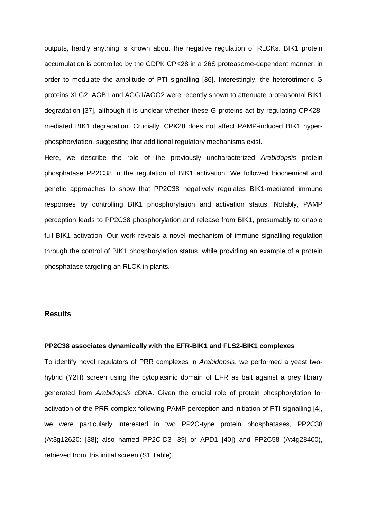outputs, hardly anything is known about the negative regulation of RLCKs. BIK1 protein accumulation is controlled by the CDPK CPK28 in a 26S proteasome-dependent manner, in order to modulate the amplitude of PTI signalling [36]. Interestingly, the heterotrimeric G proteins XLG2, AGB1 and AGG1/AGG2 were recently shown to attenuate proteasomal BIK1 degradation [37], although it is unclear whether these G proteins act by regulating CPK28 mediated BIK1 degradation. Crucially, CPK28 does not affect PAMP-induced BIK1 hyperphosphorylation, suggesting that additional regulatory mechanisms exist.

Here, we describe the role of the previously uncharacterized *Arabidopsis* protein phosphatase PP2C38 in the regulation of BIK1 activation. We followed biochemical and genetic approaches to show that PP2C38 negatively regulates BIK1-mediated immune responses by controlling BIK1 phosphorylation and activation status. Notably, PAMP perception leads to PP2C38 phosphorylation and release from BIK1, presumably to enable full BIK1 activation. Our work reveals a novel mechanism of immune signalling regulation through the control of BIK1 phosphorylation status, while providing an example of a protein phosphatase targeting an RLCK in plants.

# **Results**

## **PP2C38 associates dynamically with the EFR-BIK1 and FLS2-BIK1 complexes**

To identify novel regulators of PRR complexes in *Arabidopsis*, we performed a yeast twohybrid (Y2H) screen using the cytoplasmic domain of EFR as bait against a prey library generated from *Arabidopsis* cDNA. Given the crucial role of protein phosphorylation for activation of the PRR complex following PAMP perception and initiation of PTI signalling [4], we were particularly interested in two PP2C-type protein phosphatases, PP2C38 (At3g12620: [38]; also named PP2C-D3 [39] or APD1 [40]) and PP2C58 (At4g28400), retrieved from this initial screen (S1 Table).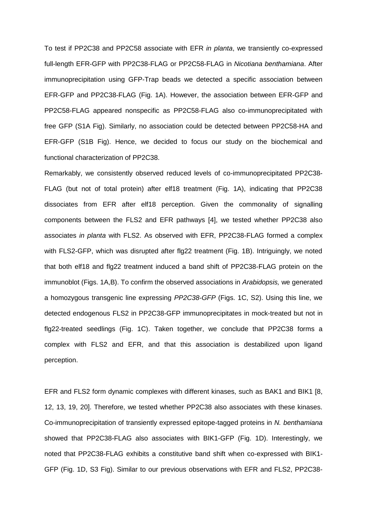To test if PP2C38 and PP2C58 associate with EFR *in planta*, we transiently co-expressed full-length EFR-GFP with PP2C38-FLAG or PP2C58-FLAG in *Nicotiana benthamiana*. After immunoprecipitation using GFP-Trap beads we detected a specific association between EFR-GFP and PP2C38-FLAG (Fig. 1A). However, the association between EFR-GFP and PP2C58-FLAG appeared nonspecific as PP2C58-FLAG also co-immunoprecipitated with free GFP (S1A Fig). Similarly, no association could be detected between PP2C58-HA and EFR-GFP (S1B Fig). Hence, we decided to focus our study on the biochemical and functional characterization of PP2C38.

Remarkably, we consistently observed reduced levels of co-immunoprecipitated PP2C38- FLAG (but not of total protein) after elf18 treatment (Fig. 1A), indicating that PP2C38 dissociates from EFR after elf18 perception. Given the commonality of signalling components between the FLS2 and EFR pathways [4], we tested whether PP2C38 also associates *in planta* with FLS2. As observed with EFR, PP2C38-FLAG formed a complex with FLS2-GFP, which was disrupted after flg22 treatment (Fig. 1B). Intriguingly, we noted that both elf18 and flg22 treatment induced a band shift of PP2C38-FLAG protein on the immunoblot (Figs. 1A,B). To confirm the observed associations in *Arabidopsis,* we generated a homozygous transgenic line expressing *PP2C38-GFP* (Figs. 1C, S2). Using this line, we detected endogenous FLS2 in PP2C38-GFP immunoprecipitates in mock-treated but not in flg22-treated seedlings (Fig. 1C). Taken together, we conclude that PP2C38 forms a complex with FLS2 and EFR, and that this association is destabilized upon ligand perception.

EFR and FLS2 form dynamic complexes with different kinases, such as BAK1 and BIK1 [8, 12, 13, 19, 20]. Therefore, we tested whether PP2C38 also associates with these kinases. Co-immunoprecipitation of transiently expressed epitope-tagged proteins in *N. benthamiana* showed that PP2C38-FLAG also associates with BIK1-GFP (Fig. 1D). Interestingly, we noted that PP2C38-FLAG exhibits a constitutive band shift when co-expressed with BIK1- GFP (Fig. 1D, S3 Fig). Similar to our previous observations with EFR and FLS2, PP2C38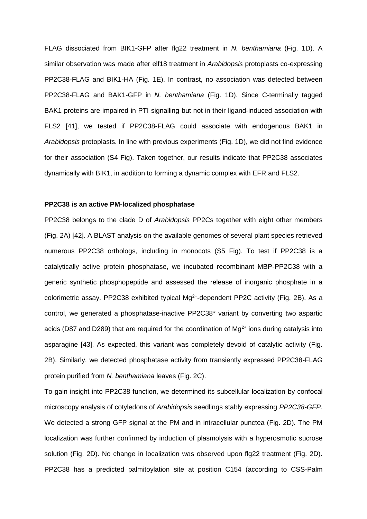FLAG dissociated from BIK1-GFP after flg22 treatment in *N. benthamiana* (Fig. 1D). A similar observation was made after elf18 treatment in *Arabidopsis* protoplasts co-expressing PP2C38-FLAG and BIK1-HA (Fig. 1E). In contrast, no association was detected between PP2C38-FLAG and BAK1-GFP in *N. benthamiana* (Fig. 1D). Since C-terminally tagged BAK1 proteins are impaired in PTI signalling but not in their ligand-induced association with FLS2 [41], we tested if PP2C38-FLAG could associate with endogenous BAK1 in *Arabidopsis* protoplasts. In line with previous experiments (Fig. 1D), we did not find evidence for their association (S4 Fig). Taken together, our results indicate that PP2C38 associates dynamically with BIK1, in addition to forming a dynamic complex with EFR and FLS2.

#### **PP2C38 is an active PM-localized phosphatase**

PP2C38 belongs to the clade D of *Arabidopsis* PP2Cs together with eight other members (Fig. 2A) [42]. A BLAST analysis on the available genomes of several plant species retrieved numerous PP2C38 orthologs, including in monocots (S5 Fig). To test if PP2C38 is a catalytically active protein phosphatase, we incubated recombinant MBP-PP2C38 with a generic synthetic phosphopeptide and assessed the release of inorganic phosphate in a colorimetric assay. PP2C38 exhibited typical  $Mg^{2+}$ -dependent PP2C activity (Fig. 2B). As a control, we generated a phosphatase-inactive PP2C38\* variant by converting two aspartic acids (D87 and D289) that are required for the coordination of  $Mg^{2+}$  ions during catalysis into asparagine [43]. As expected, this variant was completely devoid of catalytic activity (Fig. 2B). Similarly, we detected phosphatase activity from transiently expressed PP2C38-FLAG protein purified from *N. benthamiana* leaves (Fig. 2C).

To gain insight into PP2C38 function, we determined its subcellular localization by confocal microscopy analysis of cotyledons of *Arabidopsis* seedlings stably expressing *PP2C38-GFP*. We detected a strong GFP signal at the PM and in intracellular punctea (Fig. 2D). The PM localization was further confirmed by induction of plasmolysis with a hyperosmotic sucrose solution (Fig. 2D). No change in localization was observed upon flg22 treatment (Fig. 2D). PP2C38 has a predicted palmitoylation site at position C154 (according to CSS-Palm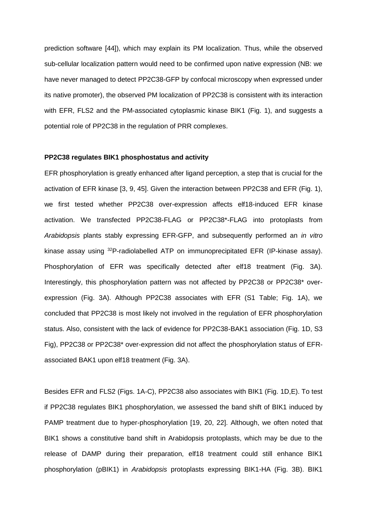prediction software [44]), which may explain its PM localization. Thus, while the observed sub-cellular localization pattern would need to be confirmed upon native expression (NB: we have never managed to detect PP2C38-GFP by confocal microscopy when expressed under its native promoter), the observed PM localization of PP2C38 is consistent with its interaction with EFR, FLS2 and the PM-associated cytoplasmic kinase BIK1 (Fig. 1), and suggests a potential role of PP2C38 in the regulation of PRR complexes.

#### **PP2C38 regulates BIK1 phosphostatus and activity**

EFR phosphorylation is greatly enhanced after ligand perception, a step that is crucial for the activation of EFR kinase [3, 9, 45]. Given the interaction between PP2C38 and EFR (Fig. 1), we first tested whether PP2C38 over-expression affects elf18-induced EFR kinase activation. We transfected PP2C38-FLAG or PP2C38\*-FLAG into protoplasts from *Arabidopsis* plants stably expressing EFR-GFP, and subsequently performed an *in vitro* kinase assay using <sup>32</sup>P-radiolabelled ATP on immunoprecipitated EFR (IP-kinase assay). Phosphorylation of EFR was specifically detected after elf18 treatment (Fig. 3A). Interestingly, this phosphorylation pattern was not affected by PP2C38 or PP2C38\* overexpression (Fig. 3A). Although PP2C38 associates with EFR (S1 Table; Fig. 1A), we concluded that PP2C38 is most likely not involved in the regulation of EFR phosphorylation status. Also, consistent with the lack of evidence for PP2C38-BAK1 association (Fig. 1D, S3 Fig), PP2C38 or PP2C38\* over-expression did not affect the phosphorylation status of EFRassociated BAK1 upon elf18 treatment (Fig. 3A).

Besides EFR and FLS2 (Figs. 1A-C), PP2C38 also associates with BIK1 (Fig. 1D,E). To test if PP2C38 regulates BIK1 phosphorylation, we assessed the band shift of BIK1 induced by PAMP treatment due to hyper-phosphorylation [19, 20, 22]. Although, we often noted that BIK1 shows a constitutive band shift in Arabidopsis protoplasts, which may be due to the release of DAMP during their preparation, elf18 treatment could still enhance BIK1 phosphorylation (pBIK1) in *Arabidopsis* protoplasts expressing BIK1-HA (Fig. 3B). BIK1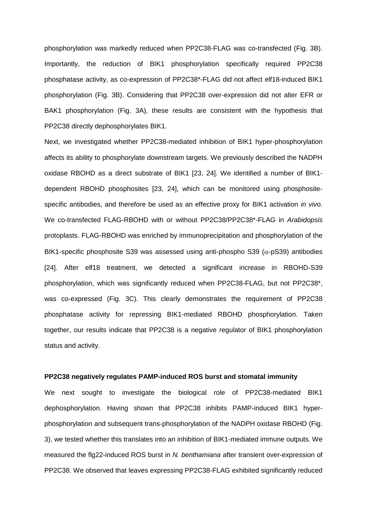phosphorylation was markedly reduced when PP2C38-FLAG was co-transfected (Fig. 3B). Importantly, the reduction of BIK1 phosphorylation specifically required PP2C38 phosphatase activity, as co-expression of PP2C38\*-FLAG did not affect elf18-induced BIK1 phosphorylation (Fig. 3B). Considering that PP2C38 over-expression did not alter EFR or BAK1 phosphorylation (Fig. 3A), these results are consistent with the hypothesis that PP2C38 directly dephosphorylates BIK1.

Next, we investigated whether PP2C38-mediated inhibition of BIK1 hyper-phosphorylation affects its ability to phosphorylate downstream targets. We previously described the NADPH oxidase RBOHD as a direct substrate of BIK1 [23, 24]. We identified a number of BIK1 dependent RBOHD phosphosites [23, 24], which can be monitored using phosphositespecific antibodies, and therefore be used as an effective proxy for BIK1 activation *in vivo*. We co-transfected FLAG-RBOHD with or without PP2C38/PP2C38\*-FLAG in *Arabidopsis* protoplasts. FLAG-RBOHD was enriched by immunoprecipitation and phosphorylation of the BIK1-specific phosphosite S39 was assessed using anti-phospho S39 ( $\alpha$ -pS39) antibodies [24]. After elf18 treatment, we detected a significant increase in RBOHD-S39 phosphorylation, which was significantly reduced when PP2C38-FLAG, but not PP2C38\*, was co-expressed (Fig. 3C). This clearly demonstrates the requirement of PP2C38 phosphatase activity for repressing BIK1-mediated RBOHD phosphorylation. Taken together, our results indicate that PP2C38 is a negative regulator of BIK1 phosphorylation status and activity.

### **PP2C38 negatively regulates PAMP-induced ROS burst and stomatal immunity**

We next sought to investigate the biological role of PP2C38-mediated BIK1 dephosphorylation. Having shown that PP2C38 inhibits PAMP-induced BIK1 hyperphosphorylation and subsequent trans-phosphorylation of the NADPH oxidase RBOHD (Fig. 3), we tested whether this translates into an inhibition of BIK1-mediated immune outputs. We measured the flg22-induced ROS burst in *N. benthamiana* after transient over-expression of PP2C38. We observed that leaves expressing PP2C38-FLAG exhibited significantly reduced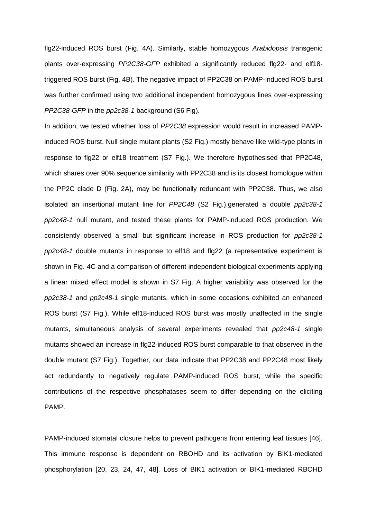flg22-induced ROS burst (Fig. 4A). Similarly, stable homozygous *Arabidopsis* transgenic plants over-expressing *PP2C38-GFP* exhibited a significantly reduced flg22- and elf18 triggered ROS burst (Fig. 4B). The negative impact of PP2C38 on PAMP-induced ROS burst was further confirmed using two additional independent homozygous lines over-expressing *PP2C38-GFP* in the *pp2c38-1* background (S6 Fig).

In addition, we tested whether loss of *PP2C38* expression would result in increased PAMPinduced ROS burst. Null single mutant plants (S2 Fig.) mostly behave like wild-type plants in response to flg22 or elf18 treatment (S7 Fig.). We therefore hypothesised that PP2C48, which shares over 90% sequence similarity with PP2C38 and is its closest homologue within the PP2C clade D (Fig. 2A), may be functionally redundant with PP2C38. Thus, we also isolated an insertional mutant line for *PP2C48* (S2 Fig.),generated a double *pp2c38-1 pp2c48-1* null mutant, and tested these plants for PAMP-induced ROS production. We consistently observed a small but significant increase in ROS production for *pp2c38-1 pp2c48-1* double mutants in response to elf18 and flg22 (a representative experiment is shown in Fig. 4C and a comparison of different independent biological experiments applying a linear mixed effect model is shown in S7 Fig. A higher variability was observed for the *pp2c38-1* and *pp2c48-1* single mutants, which in some occasions exhibited an enhanced ROS burst (S7 Fig.). While elf18-induced ROS burst was mostly unaffected in the single mutants, simultaneous analysis of several experiments revealed that *pp2c48-1* single mutants showed an increase in flg22-induced ROS burst comparable to that observed in the double mutant (S7 Fig.). Together, our data indicate that PP2C38 and PP2C48 most likely act redundantly to negatively regulate PAMP-induced ROS burst, while the specific contributions of the respective phosphatases seem to differ depending on the eliciting PAMP.

PAMP-induced stomatal closure helps to prevent pathogens from entering leaf tissues [46]. This immune response is dependent on RBOHD and its activation by BIK1-mediated phosphorylation [20, 23, 24, 47, 48]. Loss of BIK1 activation or BIK1-mediated RBOHD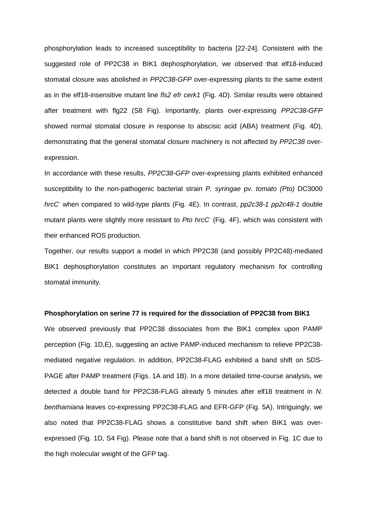phosphorylation leads to increased susceptibility to bacteria [22-24]. Consistent with the suggested role of PP2C38 in BIK1 dephosphorylation, we observed that elf18-induced stomatal closure was abolished in *PP2C38-GFP* over-expressing plants to the same extent as in the elf18-insensitive mutant line *fls2 efr cerk1* (Fig. 4D). Similar results were obtained after treatment with flg22 (S8 Fig). Importantly, plants over-expressing *PP2C38-GFP* showed normal stomatal closure in response to abscisic acid (ABA) treatment (Fig. 4D), demonstrating that the general stomatal closure machinery is not affected by *PP2C38* overexpression.

In accordance with these results, *PP2C38-GFP* over-expressing plants exhibited enhanced susceptibility to the non-pathogenic bacterial strain *P. syringae* pv. *tomato (Pto)* DC3000 *hrcC-* when compared to wild-type plants (Fig. 4E). In contrast, *pp2c38-1 pp2c48-1* double mutant plants were slightly more resistant to *Pto hrcC-* (Fig. 4F), which was consistent with their enhanced ROS production.

Together, our results support a model in which PP2C38 (and possibly PP2C48)-mediated BIK1 dephosphorylation constitutes an important regulatory mechanism for controlling stomatal immunity.

#### **Phosphorylation on serine 77 is required for the dissociation of PP2C38 from BIK1**

We observed previously that PP2C38 dissociates from the BIK1 complex upon PAMP perception (Fig. 1D,E), suggesting an active PAMP-induced mechanism to relieve PP2C38 mediated negative regulation. In addition, PP2C38-FLAG exhibited a band shift on SDS-PAGE after PAMP treatment (Figs. 1A and 1B). In a more detailed time-course analysis, we detected a double band for PP2C38-FLAG already 5 minutes after elf18 treatment in *N. benthamiana* leaves co-expressing PP2C38-FLAG and EFR-GFP (Fig. 5A). Intriguingly, we also noted that PP2C38-FLAG shows a constitutive band shift when BIK1 was overexpressed (Fig. 1D, S4 Fig). Please note that a band shift is not observed in Fig. 1C due to the high molecular weight of the GFP tag.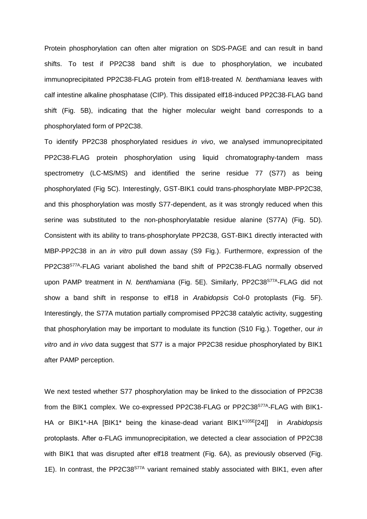Protein phosphorylation can often alter migration on SDS-PAGE and can result in band shifts. To test if PP2C38 band shift is due to phosphorylation, we incubated immunoprecipitated PP2C38-FLAG protein from elf18-treated *N. benthamiana* leaves with calf intestine alkaline phosphatase (CIP). This dissipated elf18-induced PP2C38-FLAG band shift (Fig. 5B), indicating that the higher molecular weight band corresponds to a phosphorylated form of PP2C38.

To identify PP2C38 phosphorylated residues *in vivo*, we analysed immunoprecipitated PP2C38-FLAG protein phosphorylation using liquid chromatography-tandem mass spectrometry (LC-MS/MS) and identified the serine residue 77 (S77) as being phosphorylated (Fig 5C). Interestingly, GST-BIK1 could trans-phosphorylate MBP-PP2C38, and this phosphorylation was mostly S77-dependent, as it was strongly reduced when this serine was substituted to the non-phosphorylatable residue alanine (S77A) (Fig. 5D). Consistent with its ability to trans-phosphorylate PP2C38, GST-BIK1 directly interacted with MBP-PP2C38 in an *in vitro* pull down assay (S9 Fig.). Furthermore, expression of the PP2C38<sup>S77A</sup>-FLAG variant abolished the band shift of PP2C38-FLAG normally observed upon PAMP treatment in *N. benthamiana* (Fig. 5E). Similarly, PP2C38<sup>S77A</sup>-FLAG did not show a band shift in response to elf18 in *Arabidopsis* Col-0 protoplasts (Fig. 5F). Interestingly, the S77A mutation partially compromised PP2C38 catalytic activity, suggesting that phosphorylation may be important to modulate its function (S10 Fig.). Together, our *in vitro* and *in vivo* data suggest that S77 is a major PP2C38 residue phosphorylated by BIK1 after PAMP perception.

We next tested whether S77 phosphorylation may be linked to the dissociation of PP2C38 from the BIK1 complex. We co-expressed PP2C38-FLAG or PP2C38<sup>S77A</sup>-FLAG with BIK1-HA or BIK1\*-HA [BIK1\* being the kinase-dead variant BIK1K105E[24]] in *Arabidopsis* protoplasts. After α-FLAG immunoprecipitation, we detected a clear association of PP2C38 with BIK1 that was disrupted after elf18 treatment (Fig. 6A), as previously observed (Fig. 1E). In contrast, the PP2C38<sup>S77A</sup> variant remained stably associated with BIK1, even after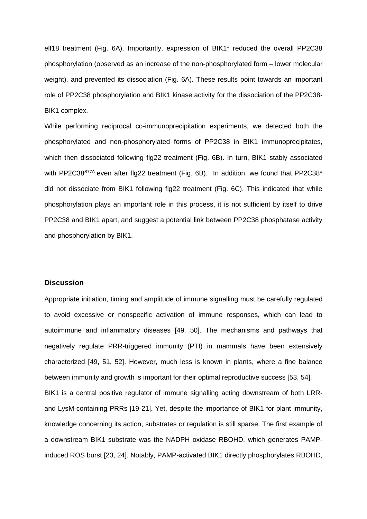elf18 treatment (Fig. 6A). Importantly, expression of BIK1\* reduced the overall PP2C38 phosphorylation (observed as an increase of the non-phosphorylated form – lower molecular weight), and prevented its dissociation (Fig. 6A). These results point towards an important role of PP2C38 phosphorylation and BIK1 kinase activity for the dissociation of the PP2C38- BIK1 complex.

While performing reciprocal co-immunoprecipitation experiments, we detected both the phosphorylated and non-phosphorylated forms of PP2C38 in BIK1 immunoprecipitates, which then dissociated following flg22 treatment (Fig. 6B). In turn, BIK1 stably associated with PP2C38<sup>S77A</sup> even after flg22 treatment (Fig. 6B). In addition, we found that PP2C38<sup>\*</sup> did not dissociate from BIK1 following flg22 treatment (Fig. 6C). This indicated that while phosphorylation plays an important role in this process, it is not sufficient by itself to drive PP2C38 and BIK1 apart, and suggest a potential link between PP2C38 phosphatase activity and phosphorylation by BIK1.

# **Discussion**

Appropriate initiation, timing and amplitude of immune signalling must be carefully regulated to avoid excessive or nonspecific activation of immune responses, which can lead to autoimmune and inflammatory diseases [49, 50]. The mechanisms and pathways that negatively regulate PRR-triggered immunity (PTI) in mammals have been extensively characterized [49, 51, 52]. However, much less is known in plants, where a fine balance between immunity and growth is important for their optimal reproductive success [53, 54]. BIK1 is a central positive regulator of immune signalling acting downstream of both LRRand LysM-containing PRRs [19-21]. Yet, despite the importance of BIK1 for plant immunity, knowledge concerning its action, substrates or regulation is still sparse. The first example of a downstream BIK1 substrate was the NADPH oxidase RBOHD, which generates PAMPinduced ROS burst [23, 24]. Notably, PAMP-activated BIK1 directly phosphorylates RBOHD,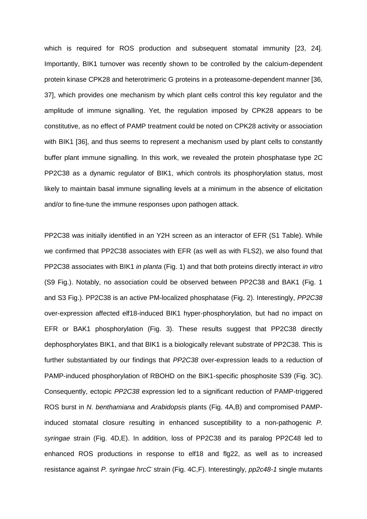which is required for ROS production and subsequent stomatal immunity [23, 24]. Importantly, BIK1 turnover was recently shown to be controlled by the calcium-dependent protein kinase CPK28 and heterotrimeric G proteins in a proteasome-dependent manner [36, 37], which provides one mechanism by which plant cells control this key regulator and the amplitude of immune signalling. Yet, the regulation imposed by CPK28 appears to be constitutive, as no effect of PAMP treatment could be noted on CPK28 activity or association with BIK1 [36], and thus seems to represent a mechanism used by plant cells to constantly buffer plant immune signalling. In this work, we revealed the protein phosphatase type 2C PP2C38 as a dynamic regulator of BIK1, which controls its phosphorylation status, most likely to maintain basal immune signalling levels at a minimum in the absence of elicitation and/or to fine-tune the immune responses upon pathogen attack.

PP2C38 was initially identified in an Y2H screen as an interactor of EFR (S1 Table). While we confirmed that PP2C38 associates with EFR (as well as with FLS2), we also found that PP2C38 associates with BIK1 *in planta* (Fig. 1) and that both proteins directly interact *in vitro* (S9 Fig.). Notably, no association could be observed between PP2C38 and BAK1 (Fig. 1 and S3 Fig.). PP2C38 is an active PM-localized phosphatase (Fig. 2). Interestingly, *PP2C38* over-expression affected elf18-induced BIK1 hyper-phosphorylation, but had no impact on EFR or BAK1 phosphorylation (Fig. 3). These results suggest that PP2C38 directly dephosphorylates BIK1, and that BIK1 is a biologically relevant substrate of PP2C38. This is further substantiated by our findings that *PP2C38* over-expression leads to a reduction of PAMP-induced phosphorylation of RBOHD on the BIK1-specific phosphosite S39 (Fig. 3C). Consequently, ectopic *PP2C38* expression led to a significant reduction of PAMP-triggered ROS burst in *N. benthamiana* and *Arabidopsis* plants (Fig. 4A,B) and compromised PAMPinduced stomatal closure resulting in enhanced susceptibility to a non-pathogenic *P. syringae* strain (Fig. 4D,E). In addition, loss of PP2C38 and its paralog PP2C48 led to enhanced ROS productions in response to elf18 and flg22, as well as to increased resistance against P. syringae hrcC strain (Fig. 4C,F). Interestingly, pp2c48-1 single mutants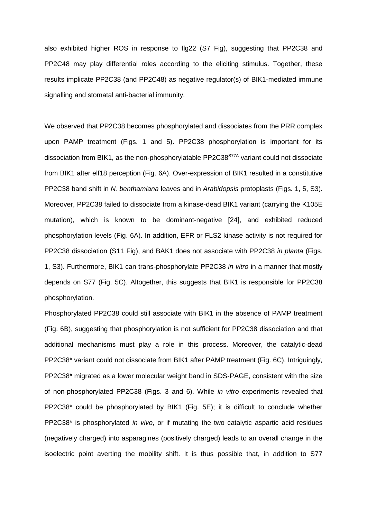also exhibited higher ROS in response to flg22 (S7 Fig), suggesting that PP2C38 and PP2C48 may play differential roles according to the eliciting stimulus. Together, these results implicate PP2C38 (and PP2C48) as negative regulator(s) of BIK1-mediated immune signalling and stomatal anti-bacterial immunity.

We observed that PP2C38 becomes phosphorylated and dissociates from the PRR complex upon PAMP treatment (Figs. 1 and 5). PP2C38 phosphorylation is important for its dissociation from BIK1, as the non-phosphorylatable PP2C38<sup>S77A</sup> variant could not dissociate from BIK1 after elf18 perception (Fig. 6A). Over-expression of BIK1 resulted in a constitutive PP2C38 band shift in *N. benthamiana* leaves and in *Arabidopsis* protoplasts (Figs. 1, 5, S3). Moreover, PP2C38 failed to dissociate from a kinase-dead BIK1 variant (carrying the K105E mutation), which is known to be dominant-negative [24], and exhibited reduced phosphorylation levels (Fig. 6A). In addition, EFR or FLS2 kinase activity is not required for PP2C38 dissociation (S11 Fig), and BAK1 does not associate with PP2C38 *in planta* (Figs. 1, S3). Furthermore, BIK1 can trans-phosphorylate PP2C38 *in vitro* in a manner that mostly depends on S77 (Fig. 5C). Altogether, this suggests that BIK1 is responsible for PP2C38 phosphorylation.

Phosphorylated PP2C38 could still associate with BIK1 in the absence of PAMP treatment (Fig. 6B), suggesting that phosphorylation is not sufficient for PP2C38 dissociation and that additional mechanisms must play a role in this process. Moreover, the catalytic-dead PP2C38\* variant could not dissociate from BIK1 after PAMP treatment (Fig. 6C). Intriguingly, PP2C38\* migrated as a lower molecular weight band in SDS-PAGE, consistent with the size of non-phosphorylated PP2C38 (Figs. 3 and 6). While *in vitro* experiments revealed that PP2C38\* could be phosphorylated by BIK1 (Fig. 5E); it is difficult to conclude whether PP2C38\* is phosphorylated *in vivo*, or if mutating the two catalytic aspartic acid residues (negatively charged) into asparagines (positively charged) leads to an overall change in the isoelectric point averting the mobility shift. It is thus possible that, in addition to S77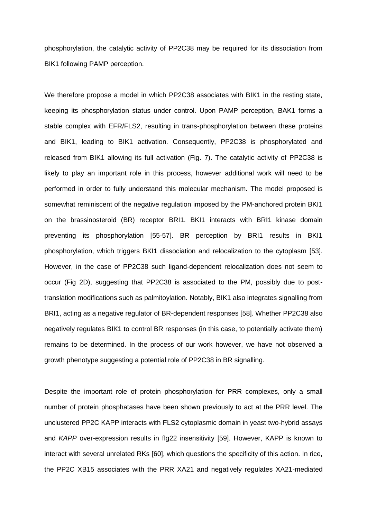phosphorylation, the catalytic activity of PP2C38 may be required for its dissociation from BIK1 following PAMP perception.

We therefore propose a model in which PP2C38 associates with BIK1 in the resting state, keeping its phosphorylation status under control. Upon PAMP perception, BAK1 forms a stable complex with EFR/FLS2, resulting in trans-phosphorylation between these proteins and BIK1, leading to BIK1 activation. Consequently, PP2C38 is phosphorylated and released from BIK1 allowing its full activation (Fig. 7). The catalytic activity of PP2C38 is likely to play an important role in this process, however additional work will need to be performed in order to fully understand this molecular mechanism. The model proposed is somewhat reminiscent of the negative regulation imposed by the PM-anchored protein BKI1 on the brassinosteroid (BR) receptor BRI1. BKI1 interacts with BRI1 kinase domain preventing its phosphorylation [55-57]. BR perception by BRI1 results in BKI1 phosphorylation, which triggers BKI1 dissociation and relocalization to the cytoplasm [53]. However, in the case of PP2C38 such ligand-dependent relocalization does not seem to occur (Fig 2D), suggesting that PP2C38 is associated to the PM, possibly due to posttranslation modifications such as palmitoylation. Notably, BIK1 also integrates signalling from BRI1, acting as a negative regulator of BR-dependent responses [58]. Whether PP2C38 also negatively regulates BIK1 to control BR responses (in this case, to potentially activate them) remains to be determined. In the process of our work however, we have not observed a growth phenotype suggesting a potential role of PP2C38 in BR signalling.

Despite the important role of protein phosphorylation for PRR complexes, only a small number of protein phosphatases have been shown previously to act at the PRR level. The unclustered PP2C KAPP interacts with FLS2 cytoplasmic domain in yeast two-hybrid assays and *KAPP* over-expression results in flg22 insensitivity [59]. However, KAPP is known to interact with several unrelated RKs [60], which questions the specificity of this action. In rice, the PP2C XB15 associates with the PRR XA21 and negatively regulates XA21-mediated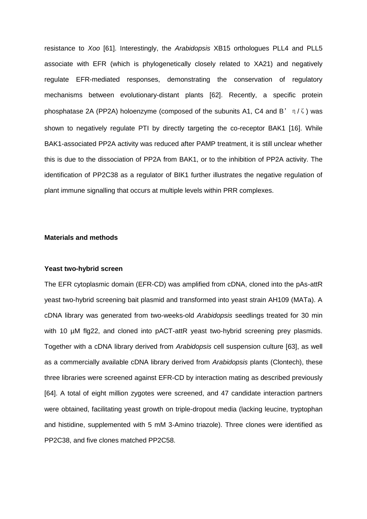resistance to *Xoo* [61]. Interestingly, the *Arabidopsis* XB15 orthologues PLL4 and PLL5 associate with EFR (which is phylogenetically closely related to XA21) and negatively regulate EFR-mediated responses, demonstrating the conservation of regulatory mechanisms between evolutionary-distant plants [62]. Recently, a specific protein phosphatase 2A (PP2A) holoenzyme (composed of the subunits A1, C4 and B' $\eta$ / $\zeta$ ) was shown to negatively regulate PTI by directly targeting the co-receptor BAK1 [16]. While BAK1-associated PP2A activity was reduced after PAMP treatment, it is still unclear whether this is due to the dissociation of PP2A from BAK1, or to the inhibition of PP2A activity. The identification of PP2C38 as a regulator of BIK1 further illustrates the negative regulation of plant immune signalling that occurs at multiple levels within PRR complexes.

# **Materials and methods**

#### **Yeast two-hybrid screen**

The EFR cytoplasmic domain (EFR-CD) was amplified from cDNA, cloned into the pAs-attR yeast two-hybrid screening bait plasmid and transformed into yeast strain AH109 (MATa). A cDNA library was generated from two-weeks-old *Arabidopsis* seedlings treated for 30 min with 10 µM flg22, and cloned into pACT-attR yeast two-hybrid screening prey plasmids. Together with a cDNA library derived from *Arabidopsis* cell suspension culture [63], as well as a commercially available cDNA library derived from *Arabidopsis* plants (Clontech), these three libraries were screened against EFR-CD by interaction mating as described previously [64]. A total of eight million zygotes were screened, and 47 candidate interaction partners were obtained, facilitating yeast growth on triple-dropout media (lacking leucine, tryptophan and histidine, supplemented with 5 mM 3-Amino triazole). Three clones were identified as PP2C38, and five clones matched PP2C58.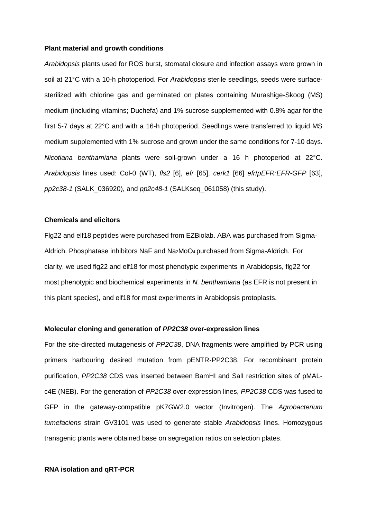#### **Plant material and growth conditions**

*Arabidopsis* plants used for ROS burst, stomatal closure and infection assays were grown in soil at 21°C with a 10-h photoperiod. For *Arabidopsis* sterile seedlings, seeds were surfacesterilized with chlorine gas and germinated on plates containing Murashige-Skoog (MS) medium (including vitamins; Duchefa) and 1% sucrose supplemented with 0.8% agar for the first 5-7 days at 22°C and with a 16-h photoperiod. Seedlings were transferred to liquid MS medium supplemented with 1% sucrose and grown under the same conditions for 7-10 days. *Nicotiana benthamiana* plants were soil-grown under a 16 h photoperiod at 22°C. *Arabidopsis* lines used: Col-0 (WT), *fls2* [6], *efr* [65], *cerk1* [66] *efr*/*pEFR:EFR-GFP* [63], *pp2c38-1* (SALK\_036920), and *pp2c48-1* (SALKseq\_061058) (this study).

### **Chemicals and elicitors**

Flg22 and elf18 peptides were purchased from EZBiolab. ABA was purchased from Sigma-Aldrich. Phosphatase inhibitors NaF and Na2MoO4 purchased from Sigma-Aldrich. For clarity, we used flg22 and elf18 for most phenotypic experiments in Arabidopsis, flg22 for most phenotypic and biochemical experiments in *N. benthamiana* (as EFR is not present in this plant species), and elf18 for most experiments in Arabidopsis protoplasts.

#### **Molecular cloning and generation of** *PP2C38* **over-expression lines**

For the site-directed mutagenesis of *PP2C38*, DNA fragments were amplified by PCR using primers harbouring desired mutation from pENTR-PP2C38. For recombinant protein purification, *PP2C38* CDS was inserted between BamHI and SalI restriction sites of pMALc4E (NEB). For the generation of *PP2C38* over-expression lines, *PP2C38* CDS was fused to GFP in the gateway-compatible pK7GW2.0 vector (Invitrogen). The *Agrobacterium tumefaciens* strain GV3101 was used to generate stable *Arabidopsis* lines. Homozygous transgenic plants were obtained base on segregation ratios on selection plates.

#### **RNA isolation and qRT-PCR**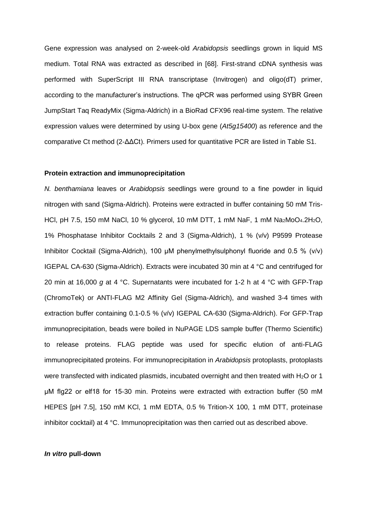Gene expression was analysed on 2-week-old *Arabidopsis* seedlings grown in liquid MS medium. Total RNA was extracted as described in [68]. First-strand cDNA synthesis was performed with SuperScript III RNA transcriptase (Invitrogen) and oligo(dT) primer, according to the manufacturer's instructions. The qPCR was performed using SYBR Green JumpStart Taq ReadyMix (Sigma-Aldrich) in a BioRad CFX96 real-time system. The relative expression values were determined by using U-box gene (*At5g15400*) as reference and the comparative Ct method (2-ΔΔCt). Primers used for quantitative PCR are listed in Table S1.

#### **Protein extraction and immunoprecipitation**

*N. benthamiana* leaves or *Arabidopsis* seedlings were ground to a fine powder in liquid nitrogen with sand (Sigma-Aldrich). Proteins were extracted in buffer containing 50 mM Tris-HCl, pH 7.5, 150 mM NaCl, 10 % glycerol, 10 mM DTT, 1 mM NaF, 1 mM Na2MoO4.2H2O, 1% Phosphatase Inhibitor Cocktails 2 and 3 (Sigma-Aldrich), 1 % (v/v) P9599 Protease Inhibitor Cocktail (Sigma-Aldrich), 100 μM phenylmethylsulphonyl fluoride and 0.5 % (v/v) IGEPAL CA-630 (Sigma-Aldrich). Extracts were incubated 30 min at 4 °C and centrifuged for 20 min at 16,000 *g* at 4 °C. Supernatants were incubated for 1-2 h at 4 °C with GFP-Trap (ChromoTek) or ANTI-FLAG M2 Affinity Gel (Sigma-Aldrich), and washed 3-4 times with extraction buffer containing 0.1-0.5 % (v/v) IGEPAL CA-630 (Sigma-Aldrich). For GFP-Trap immunoprecipitation, beads were boiled in NuPAGE LDS sample buffer (Thermo Scientific) to release proteins. FLAG peptide was used for specific elution of anti-FLAG immunoprecipitated proteins. For immunoprecipitation in *Arabidopsis* protoplasts, protoplasts were transfected with indicated plasmids, incubated overnight and then treated with H<sub>2</sub>O or 1 μM flg22 or elf18 for 15-30 min. Proteins were extracted with extraction buffer (50 mM HEPES [pH 7.5], 150 mM KCl, 1 mM EDTA, 0.5 % Trition-X 100, 1 mM DTT, proteinase inhibitor cocktail) at 4 °C. Immunoprecipitation was then carried out as described above.

#### *In vitro* **pull-down**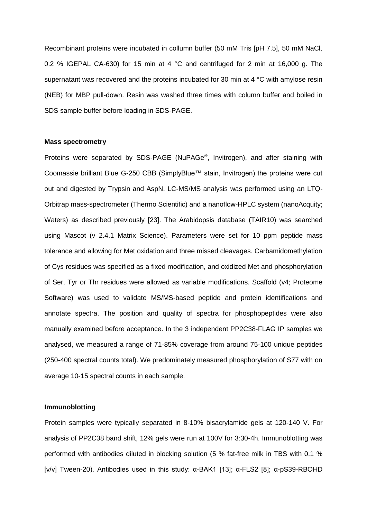Recombinant proteins were incubated in collumn buffer (50 mM Tris [pH 7.5], 50 mM NaCl, 0.2 % IGEPAL CA-630) for 15 min at 4 °C and centrifuged for 2 min at 16,000 g. The supernatant was recovered and the proteins incubated for 30 min at 4 °C with amylose resin (NEB) for MBP pull-down. Resin was washed three times with column buffer and boiled in SDS sample buffer before loading in SDS-PAGE.

#### **Mass spectrometry**

Proteins were separated by SDS-PAGE (NuPAGe<sup>®</sup>, Invitrogen), and after staining with Coomassie brilliant Blue G-250 CBB (SimplyBlue™ stain, Invitrogen) the proteins were cut out and digested by Trypsin and AspN. LC-MS/MS analysis was performed using an LTQ-Orbitrap mass-spectrometer (Thermo Scientific) and a nanoflow-HPLC system (nanoAcquity; Waters) as described previously [23]. The Arabidopsis database (TAIR10) was searched using Mascot (v 2.4.1 Matrix Science). Parameters were set for 10 ppm peptide mass tolerance and allowing for Met oxidation and three missed cleavages. Carbamidomethylation of Cys residues was specified as a fixed modification, and oxidized Met and phosphorylation of Ser, Tyr or Thr residues were allowed as variable modifications. Scaffold (v4; Proteome Software) was used to validate MS/MS-based peptide and protein identifications and annotate spectra. The position and quality of spectra for phosphopeptides were also manually examined before acceptance. In the 3 independent PP2C38-FLAG IP samples we analysed, we measured a range of 71-85% coverage from around 75-100 unique peptides (250-400 spectral counts total). We predominately measured phosphorylation of S77 with on average 10-15 spectral counts in each sample.

#### **Immunoblotting**

Protein samples were typically separated in 8-10% bisacrylamide gels at 120-140 V. For analysis of PP2C38 band shift, 12% gels were run at 100V for 3:30-4h. Immunoblotting was performed with antibodies diluted in blocking solution (5 % fat-free milk in TBS with 0.1 % [v/v] Tween-20). Antibodies used in this study: α-BAK1 [13]; α-FLS2 [8]; α-pS39-RBOHD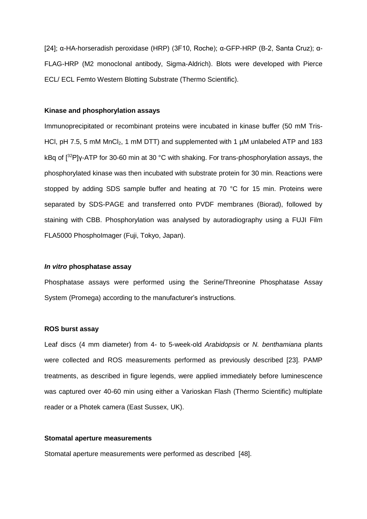[24]; α-HA-horseradish peroxidase (HRP) (3F10, Roche); α-GFP-HRP (B-2, Santa Cruz); α-FLAG-HRP (M2 monoclonal antibody, Sigma-Aldrich). Blots were developed with Pierce ECL/ ECL Femto Western Blotting Substrate (Thermo Scientific).

#### **Kinase and phosphorylation assays**

Immunoprecipitated or recombinant proteins were incubated in kinase buffer (50 mM Tris-HCl, pH 7.5, 5 mM  $MnCl<sub>2</sub>$ , 1 mM DTT) and supplemented with 1  $\mu$ M unlabeled ATP and 183 kBq of [<sup>32</sup>P]γ-ATP for 30-60 min at 30 °C with shaking. For trans-phosphorylation assays, the phosphorylated kinase was then incubated with substrate protein for 30 min. Reactions were stopped by adding SDS sample buffer and heating at 70 °C for 15 min. Proteins were separated by SDS-PAGE and transferred onto PVDF membranes (Biorad), followed by staining with CBB. Phosphorylation was analysed by autoradiography using a FUJI Film FLA5000 PhosphoImager (Fuji, Tokyo, Japan).

#### *In vitro* **phosphatase assay**

Phosphatase assays were performed using the Serine/Threonine Phosphatase Assay System (Promega) according to the manufacturer's instructions.

#### **ROS burst assay**

Leaf discs (4 mm diameter) from 4- to 5-week-old *Arabidopsis* or *N. benthamiana* plants were collected and ROS measurements performed as previously described [23]. PAMP treatments, as described in figure legends, were applied immediately before luminescence was captured over 40-60 min using either a Varioskan Flash (Thermo Scientific) multiplate reader or a Photek camera (East Sussex, UK).

#### **Stomatal aperture measurements**

Stomatal aperture measurements were performed as described [48].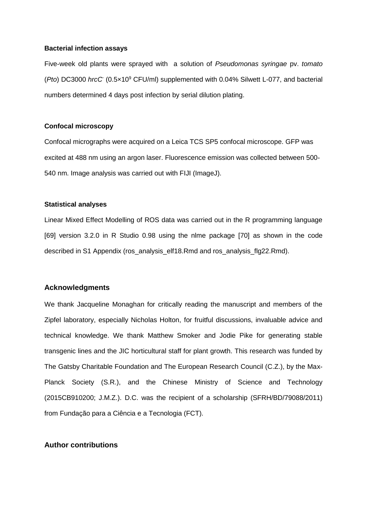#### **Bacterial infection assays**

Five-week old plants were sprayed with a solution of *Pseudomonas syringae* pv. *tomato* (*Pto*) DC3000 *hrcC-* (0.5×10<sup>9</sup> CFU/ml) supplemented with 0.04% Silwett L-077, and bacterial numbers determined 4 days post infection by serial dilution plating.

### **Confocal microscopy**

Confocal micrographs were acquired on a Leica TCS SP5 confocal microscope. GFP was excited at 488 nm using an argon laser. Fluorescence emission was collected between 500- 540 nm. Image analysis was carried out with FIJI (ImageJ).

#### **Statistical analyses**

Linear Mixed Effect Modelling of ROS data was carried out in the R programming language [69] version 3.2.0 in R Studio 0.98 using the nlme package [70] as shown in the code described in S1 Appendix (ros\_analysis\_elf18.Rmd and ros\_analysis\_flg22.Rmd).

# **Acknowledgments**

We thank Jacqueline Monaghan for critically reading the manuscript and members of the Zipfel laboratory, especially Nicholas Holton, for fruitful discussions, invaluable advice and technical knowledge. We thank Matthew Smoker and Jodie Pike for generating stable transgenic lines and the JIC horticultural staff for plant growth. This research was funded by The Gatsby Charitable Foundation and The European Research Council (C.Z.), by the Max-Planck Society (S.R.), and the Chinese Ministry of Science and Technology (2015CB910200; J.M.Z.). D.C. was the recipient of a scholarship (SFRH/BD/79088/2011) from Fundação para a Ciência e a Tecnologia (FCT).

### **Author contributions**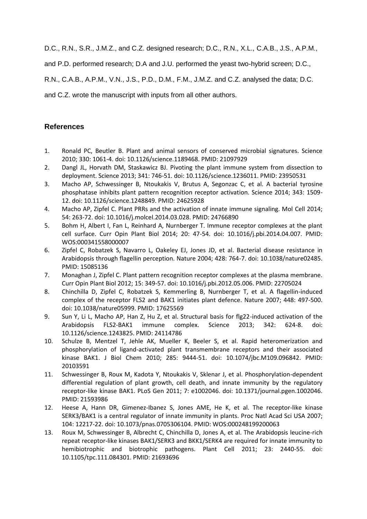D.C., R.N., S.R., J.M.Z., and C.Z. designed research; D.C., R.N., X.L., C.A.B., J.S., A.P.M.,

and P.D. performed research; D.A and J.U. performed the yeast two-hybrid screen; D.C.,

R.N., C.A.B., A.P.M., V.N., J.S., P.D., D.M., F.M., J.M.Z. and C.Z. analysed the data; D.C.

and C.Z. wrote the manuscript with inputs from all other authors.

# **References**

- 1. Ronald PC, Beutler B. Plant and animal sensors of conserved microbial signatures. Science 2010; 330: 1061-4. doi: 10.1126/science.1189468. PMID: 21097929
- 2. Dangl JL, Horvath DM, Staskawicz BJ. Pivoting the plant immune system from dissection to deployment. Science 2013; 341: 746-51. doi: 10.1126/science.1236011. PMID: 23950531
- 3. Macho AP, Schwessinger B, Ntoukakis V, Brutus A, Segonzac C, et al. A bacterial tyrosine phosphatase inhibits plant pattern recognition receptor activation. Science 2014; 343: 1509- 12. doi: 10.1126/science.1248849. PMID: 24625928
- 4. Macho AP, Zipfel C. Plant PRRs and the activation of innate immune signaling. Mol Cell 2014; 54: 263-72. doi: 10.1016/j.molcel.2014.03.028. PMID: 24766890
- 5. Bohm H, Albert I, Fan L, Reinhard A, Nurnberger T. Immune receptor complexes at the plant cell surface. Curr Opin Plant Biol 2014; 20: 47-54. doi: 10.1016/j.pbi.2014.04.007. PMID: WOS:000341558000007
- 6. Zipfel C, Robatzek S, Navarro L, Oakeley EJ, Jones JD, et al. Bacterial disease resistance in Arabidopsis through flagellin perception. Nature 2004; 428: 764-7. doi: 10.1038/nature02485. PMID: 15085136
- 7. Monaghan J, Zipfel C. Plant pattern recognition receptor complexes at the plasma membrane. Curr Opin Plant Biol 2012; 15: 349-57. doi: 10.1016/j.pbi.2012.05.006. PMID: 22705024
- 8. Chinchilla D, Zipfel C, Robatzek S, Kemmerling B, Nurnberger T, et al. A flagellin-induced complex of the receptor FLS2 and BAK1 initiates plant defence. Nature 2007; 448: 497-500. doi: 10.1038/nature05999. PMID: 17625569
- 9. Sun Y, Li L, Macho AP, Han Z, Hu Z, et al. Structural basis for flg22-induced activation of the Arabidopsis FLS2-BAK1 immune complex. Science 2013; 342: 624-8. doi: 10.1126/science.1243825. PMID: 24114786
- 10. Schulze B, Mentzel T, Jehle AK, Mueller K, Beeler S, et al. Rapid heteromerization and phosphorylation of ligand-activated plant transmembrane receptors and their associated kinase BAK1. J Biol Chem 2010; 285: 9444-51. doi: 10.1074/jbc.M109.096842. PMID: 20103591
- 11. Schwessinger B, Roux M, Kadota Y, Ntoukakis V, Sklenar J, et al. Phosphorylation-dependent differential regulation of plant growth, cell death, and innate immunity by the regulatory receptor-like kinase BAK1. PLoS Gen 2011; 7: e1002046. doi: 10.1371/journal.pgen.1002046. PMID: 21593986
- 12. Heese A, Hann DR, Gimenez-Ibanez S, Jones AME, He K, et al. The receptor-like kinase SERK3/BAK1 is a central regulator of innate immunity in plants. Proc Natl Acad Sci USA 2007; 104: 12217-22. doi: 10.1073/pnas.0705306104. PMID: WOS:000248199200063
- 13. Roux M, Schwessinger B, Albrecht C, Chinchilla D, Jones A, et al. The Arabidopsis leucine-rich repeat receptor-like kinases BAK1/SERK3 and BKK1/SERK4 are required for innate immunity to hemibiotrophic and biotrophic pathogens. Plant Cell 2011; 23: 2440-55. doi: 10.1105/tpc.111.084301. PMID: 21693696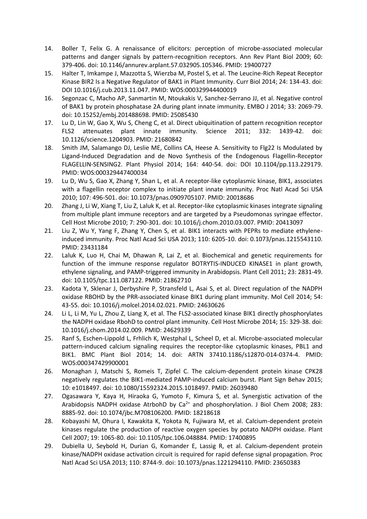- 14. Boller T, Felix G. A renaissance of elicitors: perception of microbe-associated molecular patterns and danger signals by pattern-recognition receptors. Ann Rev Plant Biol 2009; 60: 379-406. doi: 10.1146/annurev.arplant.57.032905.105346. PMID: 19400727
- 15. Halter T, Imkampe J, Mazzotta S, Wierzba M, Postel S, et al. The Leucine-Rich Repeat Receptor Kinase BIR2 Is a Negative Regulator of BAK1 in Plant Immunity. Curr Biol 2014; 24: 134-43. doi: DOI 10.1016/j.cub.2013.11.047. PMID: WOS:000329944400019
- 16. Segonzac C, Macho AP, Sanmartin M, Ntoukakis V, Sanchez-Serrano JJ, et al. Negative control of BAK1 by protein phosphatase 2A during plant innate immunity. EMBO J 2014; 33: 2069-79. doi: 10.15252/embj.201488698. PMID: 25085430
- 17. Lu D, Lin W, Gao X, Wu S, Cheng C, et al. Direct ubiquitination of pattern recognition receptor FLS2 attenuates plant innate immunity. Science 2011; 332: 1439-42. 10.1126/science.1204903. PMID: 21680842
- 18. Smith JM, Salamango DJ, Leslie ME, Collins CA, Heese A. Sensitivity to Flg22 Is Modulated by Ligand-Induced Degradation and de Novo Synthesis of the Endogenous Flagellin-Receptor FLAGELLIN-SENSING2. Plant Physiol 2014; 164: 440-54. doi: DOI 10.1104/pp.113.229179. PMID: WOS:000329447400034
- 19. Lu D, Wu S, Gao X, Zhang Y, Shan L, et al. A receptor-like cytoplasmic kinase, BIK1, associates with a flagellin receptor complex to initiate plant innate immunity. Proc Natl Acad Sci USA 2010; 107: 496-501. doi: 10.1073/pnas.0909705107. PMID: 20018686
- 20. Zhang J, Li W, Xiang T, Liu Z, Laluk K, et al. Receptor-like cytoplasmic kinases integrate signaling from multiple plant immune receptors and are targeted by a Pseudomonas syringae effector. Cell Host Microbe 2010; 7: 290-301. doi: 10.1016/j.chom.2010.03.007. PMID: 20413097
- 21. Liu Z, Wu Y, Yang F, Zhang Y, Chen S, et al. BIK1 interacts with PEPRs to mediate ethyleneinduced immunity. Proc Natl Acad Sci USA 2013; 110: 6205-10. doi: 0.1073/pnas.1215543110. PMID: 23431184
- 22. Laluk K, Luo H, Chai M, Dhawan R, Lai Z, et al. Biochemical and genetic requirements for function of the immune response regulator BOTRYTIS-INDUCED KINASE1 in plant growth, ethylene signaling, and PAMP-triggered immunity in Arabidopsis. Plant Cell 2011; 23: 2831-49. doi: 10.1105/tpc.111.087122. PMID: 21862710
- 23. Kadota Y, Sklenar J, Derbyshire P, Stransfeld L, Asai S, et al. Direct regulation of the NADPH oxidase RBOHD by the PRR-associated kinase BIK1 during plant immunity. Mol Cell 2014; 54: 43-55. doi: 10.1016/j.molcel.2014.02.021. PMID: 24630626
- 24. Li L, Li M, Yu L, Zhou Z, Liang X, et al. The FLS2-associated kinase BIK1 directly phosphorylates the NADPH oxidase RbohD to control plant immunity. Cell Host Microbe 2014; 15: 329-38. doi: 10.1016/j.chom.2014.02.009. PMID: 24629339
- 25. Ranf S, Eschen-Lippold L, Frhlich K, Westphal L, Scheel D, et al. Microbe-associated molecular pattern-induced calcium signaling requires the receptor-like cytoplasmic kinases, PBL1 and BIK1. BMC Plant Biol 2014; 14. doi: ARTN 37410.1186/s12870-014-0374-4. PMID: WOS:000347429900001
- 26. Monaghan J, Matschi S, Romeis T, Zipfel C. The calcium-dependent protein kinase CPK28 negatively regulates the BIK1-mediated PAMP-induced calcium burst. Plant Sign Behav 2015; 10: e1018497. doi: 10.1080/15592324.2015.1018497. PMID: 26039480
- 27. Ogasawara Y, Kaya H, Hiraoka G, Yumoto F, Kimura S, et al. Synergistic activation of the Arabidopsis NADPH oxidase AtrbohD by  $Ca^{2+}$  and phosphorylation. J Biol Chem 2008; 283: 8885-92. doi: 10.1074/jbc.M708106200. PMID: 18218618
- 28. Kobayashi M, Ohura I, Kawakita K, Yokota N, Fujiwara M, et al. Calcium-dependent protein kinases regulate the production of reactive oxygen species by potato NADPH oxidase. Plant Cell 2007; 19: 1065-80. doi: 10.1105/tpc.106.048884. PMID: 17400895
- 29. Dubiella U, Seybold H, Durian G, Komander E, Lassig R, et al. Calcium-dependent protein kinase/NADPH oxidase activation circuit is required for rapid defense signal propagation. Proc Natl Acad Sci USA 2013; 110: 8744-9. doi: 10.1073/pnas.1221294110. PMID: 23650383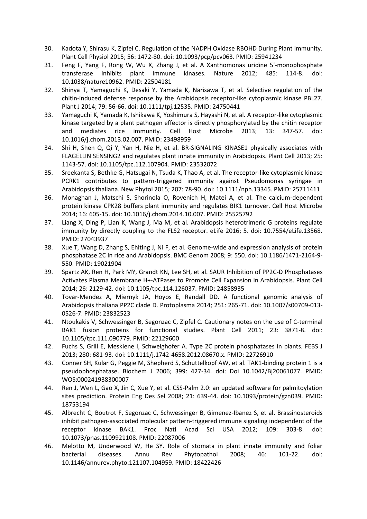- 30. Kadota Y, Shirasu K, Zipfel C. Regulation of the NADPH Oxidase RBOHD During Plant Immunity. Plant Cell Physiol 2015; 56: 1472-80. doi: 10.1093/pcp/pcv063. PMID: 25941234
- 31. Feng F, Yang F, Rong W, Wu X, Zhang J, et al. A Xanthomonas uridine 5'-monophosphate transferase inhibits plant immune kinases. Nature 2012; 485: 114-8. doi: 10.1038/nature10962. PMID: 22504181
- 32. Shinya T, Yamaguchi K, Desaki Y, Yamada K, Narisawa T, et al. Selective regulation of the chitin-induced defense response by the Arabidopsis receptor-like cytoplasmic kinase PBL27. Plant J 2014; 79: 56-66. doi: 10.1111/tpj.12535. PMID: 24750441
- 33. Yamaguchi K, Yamada K, Ishikawa K, Yoshimura S, Hayashi N, et al. A receptor-like cytoplasmic kinase targeted by a plant pathogen effector is directly phosphorylated by the chitin receptor and mediates rice immunity. Cell Host Microbe 2013; 13: 347-57. 10.1016/j.chom.2013.02.007. PMID: 23498959
- 34. Shi H, Shen Q, Qi Y, Yan H, Nie H, et al. BR-SIGNALING KINASE1 physically associates with FLAGELLIN SENSING2 and regulates plant innate immunity in Arabidopsis. Plant Cell 2013; 25: 1143-57. doi: 10.1105/tpc.112.107904. PMID: 23532072
- 35. Sreekanta S, Bethke G, Hatsugai N, Tsuda K, Thao A, et al. The receptor-like cytoplasmic kinase PCRK1 contributes to pattern-triggered immunity against Pseudomonas syringae in Arabidopsis thaliana. New Phytol 2015; 207: 78-90. doi: 10.1111/nph.13345. PMID: 25711411
- 36. Monaghan J, Matschi S, Shorinola O, Rovenich H, Matei A, et al. The calcium-dependent protein kinase CPK28 buffers plant immunity and regulates BIK1 turnover. Cell Host Microbe 2014; 16: 605-15. doi: 10.1016/j.chom.2014.10.007. PMID: 25525792
- 37. Liang X, Ding P, Lian K, Wang J, Ma M, et al. Arabidopsis heterotrimeric G proteins regulate immunity by directly coupling to the FLS2 receptor. eLife 2016; 5. doi: 10.7554/eLife.13568. PMID: 27043937
- 38. Xue T, Wang D, Zhang S, Ehlting J, Ni F, et al. Genome-wide and expression analysis of protein phosphatase 2C in rice and Arabidopsis. BMC Genom 2008; 9: 550. doi: 10.1186/1471-2164-9- 550. PMID: 19021904
- 39. Spartz AK, Ren H, Park MY, Grandt KN, Lee SH, et al. SAUR Inhibition of PP2C-D Phosphatases Activates Plasma Membrane H+-ATPases to Promote Cell Expansion in Arabidopsis. Plant Cell 2014; 26: 2129-42. doi: 10.1105/tpc.114.126037. PMID: 24858935
- 40. Tovar-Mendez A, Miernyk JA, Hoyos E, Randall DD. A functional genomic analysis of Arabidopsis thaliana PP2C clade D. Protoplasma 2014; 251: 265-71. doi: 10.1007/s00709-013- 0526-7. PMID: 23832523
- 41. Ntoukakis V, Schwessinger B, Segonzac C, Zipfel C. Cautionary notes on the use of C-terminal BAK1 fusion proteins for functional studies. Plant Cell 2011; 23: 3871-8. doi: 10.1105/tpc.111.090779. PMID: 22129600
- 42. Fuchs S, Grill E, Meskiene I, Schweighofer A. Type 2C protein phosphatases in plants. FEBS J 2013; 280: 681-93. doi: 10.1111/j.1742-4658.2012.08670.x. PMID: 22726910
- 43. Conner SH, Kular G, Peggie M, Shepherd S, Schuttelkopf AW, et al. TAK1-binding protein 1 is a pseudophosphatase. Biochem J 2006; 399: 427-34. doi: Doi 10.1042/Bj20061077. PMID: WOS:000241938300007
- 44. Ren J, Wen L, Gao X, Jin C, Xue Y, et al. CSS-Palm 2.0: an updated software for palmitoylation sites prediction. Protein Eng Des Sel 2008; 21: 639-44. doi: 10.1093/protein/gzn039. PMID: 18753194
- 45. Albrecht C, Boutrot F, Segonzac C, Schwessinger B, Gimenez-Ibanez S, et al. Brassinosteroids inhibit pathogen-associated molecular pattern-triggered immune signaling independent of the receptor kinase BAK1. Proc Natl Acad Sci USA 2012; 109: 303-8. doi: 10.1073/pnas.1109921108. PMID: 22087006
- 46. Melotto M, Underwood W, He SY. Role of stomata in plant innate immunity and foliar bacterial diseases. Annu Rev Phytopathol 2008; 46: 101-22. doi: 10.1146/annurev.phyto.121107.104959. PMID: 18422426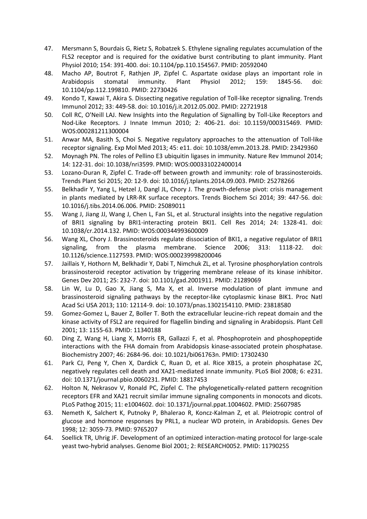- 47. Mersmann S, Bourdais G, Rietz S, Robatzek S. Ethylene signaling regulates accumulation of the FLS2 receptor and is required for the oxidative burst contributing to plant immunity. Plant Physiol 2010; 154: 391-400. doi: 10.1104/pp.110.154567. PMID: 20592040
- 48. Macho AP, Boutrot F, Rathjen JP, Zipfel C. Aspartate oxidase plays an important role in Arabidopsis stomatal immunity. Plant Physiol 2012; 159: 1845-56. doi: 10.1104/pp.112.199810. PMID: 22730426
- 49. Kondo T, Kawai T, Akira S. Dissecting negative regulation of Toll-like receptor signaling. Trends Immunol 2012; 33: 449-58. doi: 10.1016/j.it.2012.05.002. PMID: 22721918
- 50. Coll RC, O'Neill LAJ. New Insights into the Regulation of Signalling by Toll-Like Receptors and Nod-Like Receptors. J Innate Immun 2010; 2: 406-21. doi: 10.1159/000315469. PMID: WOS:000281211300004
- 51. Anwar MA, Basith S, Choi S. Negative regulatory approaches to the attenuation of Toll-like receptor signaling. Exp Mol Med 2013; 45: e11. doi: 10.1038/emm.2013.28. PMID: 23429360
- 52. Moynagh PN. The roles of Pellino E3 ubiquitin ligases in immunity. Nature Rev Immunol 2014; 14: 122-31. doi: 10.1038/nri3599. PMID: WOS:000331022400014
- 53. Lozano-Duran R, Zipfel C. Trade-off between growth and immunity: role of brassinosteroids. Trends Plant Sci 2015; 20: 12-9. doi: 10.1016/j.tplants.2014.09.003. PMID: 25278266
- 55. Belkhadir Y, Yang L, Hetzel J, Dangl JL, Chory J. The growth-defense pivot: crisis management in plants mediated by LRR-RK surface receptors. Trends Biochem Sci 2014; 39: 447-56. doi: 10.1016/j.tibs.2014.06.006. PMID: 25089011
- 55. Wang J, Jiang JJ, Wang J, Chen L, Fan SL, et al. Structural insights into the negative regulation of BRI1 signaling by BRI1-interacting protein BKI1. Cell Res 2014; 24: 1328-41. doi: 10.1038/cr.2014.132. PMID: WOS:000344993600009
- 56. Wang XL, Chory J. Brassinosteroids regulate dissociation of BKI1, a negative regulator of BRI1 signaling, from the plasma membrane. Science 2006; 313: 1118-22. doi: 10.1126/science.1127593. PMID: WOS:000239998200046
- 57. Jaillais Y, Hothorn M, Belkhadir Y, Dabi T, Nimchuk ZL, et al. Tyrosine phosphorylation controls brassinosteroid receptor activation by triggering membrane release of its kinase inhibitor. Genes Dev 2011; 25: 232-7. doi: 10.1101/gad.2001911. PMID: 21289069
- 58. Lin W, Lu D, Gao X, Jiang S, Ma X, et al. Inverse modulation of plant immune and brassinosteroid signaling pathways by the receptor-like cytoplasmic kinase BIK1. Proc Natl Acad Sci USA 2013; 110: 12114-9. doi: 10.1073/pnas.1302154110. PMID: 23818580
- 59. Gomez-Gomez L, Bauer Z, Boller T. Both the extracellular leucine-rich repeat domain and the kinase activity of FSL2 are required for flagellin binding and signaling in Arabidopsis. Plant Cell 2001; 13: 1155-63. PMID: 11340188
- 60. Ding Z, Wang H, Liang X, Morris ER, Gallazzi F, et al. Phosphoprotein and phosphopeptide interactions with the FHA domain from Arabidopsis kinase-associated protein phosphatase. Biochemistry 2007; 46: 2684-96. doi: 10.1021/bi061763n. PMID: 17302430
- 61. Park CJ, Peng Y, Chen X, Dardick C, Ruan D, et al. Rice XB15, a protein phosphatase 2C, negatively regulates cell death and XA21-mediated innate immunity. PLoS Biol 2008; 6: e231. doi: 10.1371/journal.pbio.0060231. PMID: 18817453
- 62. Holton N, Nekrasov V, Ronald PC, Zipfel C. The phylogenetically-related pattern recognition receptors EFR and XA21 recruit similar immune signaling components in monocots and dicots. PLoS Pathog 2015; 11: e1004602. doi: 10.1371/journal.ppat.1004602. PMID: 25607985
- 63. Nemeth K, Salchert K, Putnoky P, Bhalerao R, Koncz-Kalman Z, et al. Pleiotropic control of glucose and hormone responses by PRL1, a nuclear WD protein, in Arabidopsis. Genes Dev 1998; 12: 3059-73. PMID: 9765207
- 64. Soellick TR, Uhrig JF. Development of an optimized interaction-mating protocol for large-scale yeast two-hybrid analyses. Genome Biol 2001; 2: RESEARCH0052. PMID: 11790255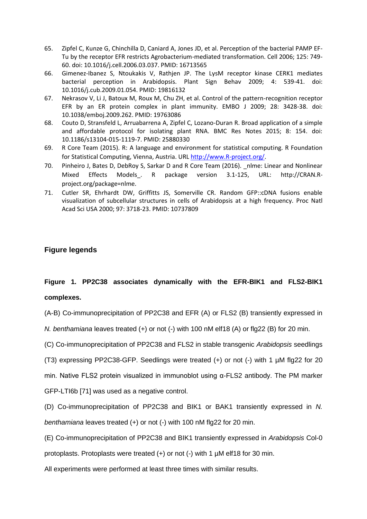- 65. Zipfel C, Kunze G, Chinchilla D, Caniard A, Jones JD, et al. Perception of the bacterial PAMP EF-Tu by the receptor EFR restricts Agrobacterium-mediated transformation. Cell 2006; 125: 749- 60. doi: 10.1016/j.cell.2006.03.037. PMID: 16713565
- 66. Gimenez-Ibanez S, Ntoukakis V, Rathjen JP. The LysM receptor kinase CERK1 mediates bacterial perception in Arabidopsis. Plant Sign Behav 2009; 4: 539-41. doi: 10.1016/j.cub.2009.01.054. PMID: 19816132
- 67. Nekrasov V, Li J, Batoux M, Roux M, Chu ZH, et al. Control of the pattern-recognition receptor EFR by an ER protein complex in plant immunity. EMBO J 2009; 28: 3428-38. doi: 10.1038/emboj.2009.262. PMID: 19763086
- 68. Couto D, Stransfeld L, Arruabarrena A, Zipfel C, Lozano-Duran R. Broad application of a simple and affordable protocol for isolating plant RNA. BMC Res Notes 2015; 8: 154. doi: 10.1186/s13104-015-1119-7. PMID: 25880330
- 69. R Core Team (2015). R: A language and environment for statistical computing. R Foundation for Statistical Computing, Vienna, Austria. URL [http://www.R-project.org/.](http://www.r-project.org/)
- 70. Pinheiro J, Bates D, DebRoy S, Sarkar D and R Core Team (2016). \_nlme: Linear and Nonlinear Mixed Effects Models\_. R package version 3.1-125, URL: http://CRAN.Rproject.org/package=nlme.
- 71. Cutler SR, Ehrhardt DW, Griffitts JS, Somerville CR. Random GFP::cDNA fusions enable visualization of subcellular structures in cells of Arabidopsis at a high frequency. Proc Natl Acad Sci USA 2000; 97: 3718-23. PMID: 10737809

# **Figure legends**

# **Figure 1. PP2C38 associates dynamically with the EFR-BIK1 and FLS2-BIK1 complexes.**

(A-B) Co-immunoprecipitation of PP2C38 and EFR (A) or FLS2 (B) transiently expressed in

*N. benthamiana* leaves treated (+) or not (-) with 100 nM elf18 (A) or flg22 (B) for 20 min.

(C) Co-immunoprecipitation of PP2C38 and FLS2 in stable transgenic *Arabidopsis* seedlings

(T3) expressing PP2C38-GFP. Seedlings were treated (+) or not (-) with 1 µM flg22 for 20

min. Native FLS2 protein visualized in immunoblot using α-FLS2 antibody. The PM marker GFP-LTI6b [71] was used as a negative control.

(D) Co-immunoprecipitation of PP2C38 and BIK1 or BAK1 transiently expressed in *N. benthamiana* leaves treated (+) or not (-) with 100 nM flg22 for 20 min.

(E) Co-immunoprecipitation of PP2C38 and BIK1 transiently expressed in *Arabidopsis* Col-0

protoplasts. Protoplasts were treated (+) or not (-) with 1 µM elf18 for 30 min.

All experiments were performed at least three times with similar results.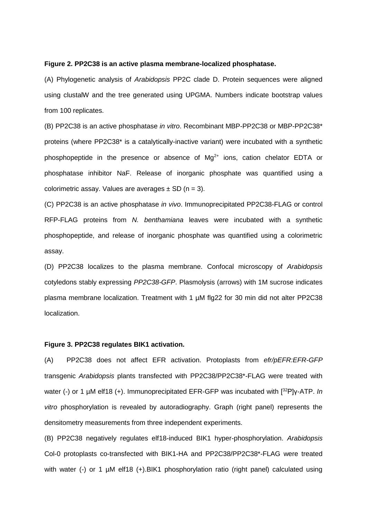#### **Figure 2. PP2C38 is an active plasma membrane-localized phosphatase.**

(A) Phylogenetic analysis of *Arabidopsis* PP2C clade D. Protein sequences were aligned using clustalW and the tree generated using UPGMA. Numbers indicate bootstrap values from 100 replicates.

(B) PP2C38 is an active phosphatase *in vitro*. Recombinant MBP-PP2C38 or MBP-PP2C38\* proteins (where PP2C38\* is a catalytically-inactive variant) were incubated with a synthetic phosphopeptide in the presence or absence of  $Mg^{2+}$  ions, cation chelator EDTA or phosphatase inhibitor NaF. Release of inorganic phosphate was quantified using a colorimetric assay. Values are averages  $\pm$  SD (n = 3).

(C) PP2C38 is an active phosphatase *in vivo*. Immunoprecipitated PP2C38-FLAG or control RFP-FLAG proteins from *N. benthamiana* leaves were incubated with a synthetic phosphopeptide, and release of inorganic phosphate was quantified using a colorimetric assay.

(D) PP2C38 localizes to the plasma membrane. Confocal microscopy of *Arabidopsis* cotyledons stably expressing *PP2C38-GFP*. Plasmolysis (arrows) with 1M sucrose indicates plasma membrane localization. Treatment with 1 µM flg22 for 30 min did not alter PP2C38 localization.

#### **Figure 3. PP2C38 regulates BIK1 activation.**

(A) PP2C38 does not affect EFR activation. Protoplasts from *efr/pEFR:EFR-GFP* transgenic *Arabidopsis* plants transfected with PP2C38/PP2C38\*-FLAG were treated with water (-) or 1 µM elf18 (+). Immunoprecipitated EFR-GFP was incubated with [<sup>32</sup>P]γ-ATP. *In vitro* phosphorylation is revealed by autoradiography. Graph (right panel) represents the densitometry measurements from three independent experiments.

(B) PP2C38 negatively regulates elf18-induced BIK1 hyper-phosphorylation. *Arabidopsis* Col-0 protoplasts co-transfected with BIK1-HA and PP2C38/PP2C38\*-FLAG were treated with water (-) or 1 µM elf18 (+).BIK1 phosphorylation ratio (right panel) calculated using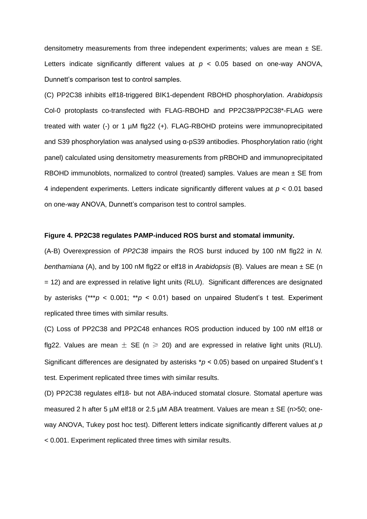densitometry measurements from three independent experiments; values are mean  $\pm$  SE. Letters indicate significantly different values at  $p < 0.05$  based on one-way ANOVA, Dunnett's comparison test to control samples.

(C) PP2C38 inhibits elf18-triggered BIK1-dependent RBOHD phosphorylation. *Arabidopsis* Col-0 protoplasts co-transfected with FLAG-RBOHD and PP2C38/PP2C38\*-FLAG were treated with water (-) or 1 µM flg22 (+). FLAG-RBOHD proteins were immunoprecipitated and S39 phosphorylation was analysed using α-pS39 antibodies. Phosphorylation ratio (right panel) calculated using densitometry measurements from pRBOHD and immunoprecipitated RBOHD immunoblots, normalized to control (treated) samples. Values are mean  $\pm$  SE from 4 independent experiments. Letters indicate significantly different values at *p* < 0.01 based on one-way ANOVA, Dunnett's comparison test to control samples.

#### **Figure 4. PP2C38 regulates PAMP-induced ROS burst and stomatal immunity.**

(A-B) Overexpression of *PP2C38* impairs the ROS burst induced by 100 nM flg22 in *N. benthamiana* (A), and by 100 nM flg22 or elf18 in *Arabidopsis* (B). Values are mean ± SE (n = 12) and are expressed in relative light units (RLU). Significant differences are designated by asterisks (\*\*\**p* < 0.001; \*\**p* < 0.01) based on unpaired Student's t test. Experiment replicated three times with similar results.

(C) Loss of PP2C38 and PP2C48 enhances ROS production induced by 100 nM elf18 or flg22. Values are mean  $\pm$  SE (n  $\geq$  20) and are expressed in relative light units (RLU). Significant differences are designated by asterisks \**p* < 0.05) based on unpaired Student's t test. Experiment replicated three times with similar results.

(D) PP2C38 regulates elf18- but not ABA-induced stomatal closure. Stomatal aperture was measured 2 h after 5  $\mu$ M elf18 or 2.5  $\mu$ M ABA treatment. Values are mean  $\pm$  SE (n>50; oneway ANOVA, Tukey post hoc test). Different letters indicate significantly different values at *p* < 0.001. Experiment replicated three times with similar results.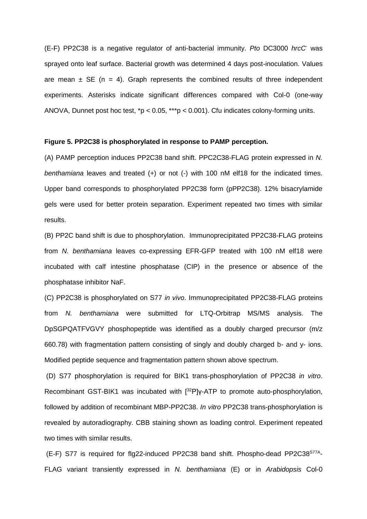(E-F) PP2C38 is a negative regulator of anti-bacterial immunity. *Pto* DC3000 *hrcC-* was sprayed onto leaf surface. Bacterial growth was determined 4 days post-inoculation. Values are mean  $\pm$  SE (n = 4). Graph represents the combined results of three independent experiments. Asterisks indicate significant differences compared with Col-0 (one-way ANOVA, Dunnet post hoc test, \*p < 0.05, \*\*\*p < 0.001). Cfu indicates colony-forming units.

#### **Figure 5. PP2C38 is phosphorylated in response to PAMP perception.**

(A) PAMP perception induces PP2C38 band shift. PPC2C38-FLAG protein expressed in *N. benthamiana* leaves and treated (+) or not (-) with 100 nM elf18 for the indicated times. Upper band corresponds to phosphorylated PP2C38 form (pPP2C38). 12% bisacrylamide gels were used for better protein separation. Experiment repeated two times with similar results.

(B) PP2C band shift is due to phosphorylation. Immunoprecipitated PP2C38-FLAG proteins from *N. benthamiana* leaves co-expressing EFR-GFP treated with 100 nM elf18 were incubated with calf intestine phosphatase (CIP) in the presence or absence of the phosphatase inhibitor NaF.

(C) PP2C38 is phosphorylated on S77 *in vivo*. Immunoprecipitated PP2C38-FLAG proteins from *N. benthamiana* were submitted for LTQ-Orbitrap MS/MS analysis. The DpSGPQATFVGVY phosphopeptide was identified as a doubly charged precursor (m/z 660.78) with fragmentation pattern consisting of singly and doubly charged b- and y- ions. Modified peptide sequence and fragmentation pattern shown above spectrum.

(D) S77 phosphorylation is required for BIK1 trans-phosphorylation of PP2C38 *in vitro*. Recombinant GST-BIK1 was incubated with [32P]γ-ATP to promote auto-phosphorylation, followed by addition of recombinant MBP-PP2C38. *In vitro* PP2C38 trans-phosphorylation is revealed by autoradiography. CBB staining shown as loading control. Experiment repeated two times with similar results.

(E-F) S77 is required for flg22-induced PP2C38 band shift. Phospho-dead PP2C38<sup>S77A</sup>-FLAG variant transiently expressed in *N. benthamiana* (E) or in *Arabidopsis* Col-0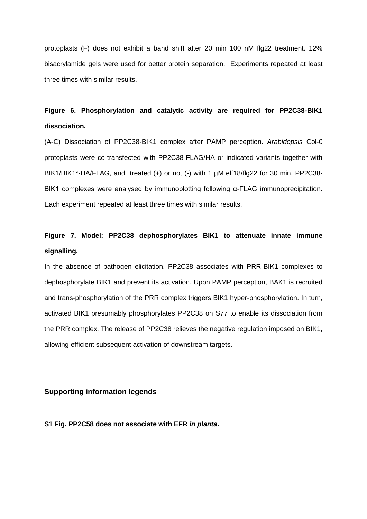protoplasts (F) does not exhibit a band shift after 20 min 100 nM flg22 treatment. 12% bisacrylamide gels were used for better protein separation. Experiments repeated at least three times with similar results.

# **Figure 6. Phosphorylation and catalytic activity are required for PP2C38-BIK1 dissociation.**

(A-C) Dissociation of PP2C38-BIK1 complex after PAMP perception. *Arabidopsis* Col-0 protoplasts were co-transfected with PP2C38-FLAG/HA or indicated variants together with BIK1/BIK1\*-HA/FLAG, and treated (+) or not (-) with 1 µM elf18/flg22 for 30 min. PP2C38-BIK1 complexes were analysed by immunoblotting following α-FLAG immunoprecipitation. Each experiment repeated at least three times with similar results.

# **Figure 7. Model: PP2C38 dephosphorylates BIK1 to attenuate innate immune signalling.**

In the absence of pathogen elicitation, PP2C38 associates with PRR-BIK1 complexes to dephosphorylate BIK1 and prevent its activation. Upon PAMP perception, BAK1 is recruited and trans-phosphorylation of the PRR complex triggers BIK1 hyper-phosphorylation. In turn, activated BIK1 presumably phosphorylates PP2C38 on S77 to enable its dissociation from the PRR complex. The release of PP2C38 relieves the negative regulation imposed on BIK1, allowing efficient subsequent activation of downstream targets.

# **Supporting information legends**

**S1 Fig. PP2C58 does not associate with EFR** *in planta***.**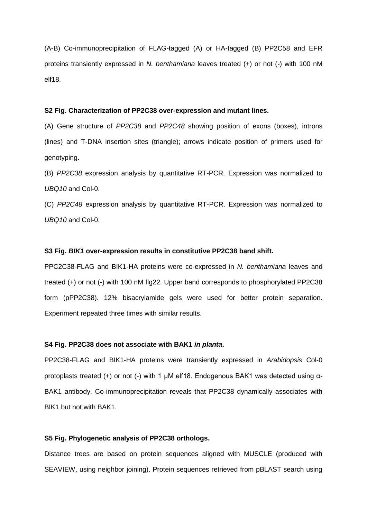(A-B) Co-immunoprecipitation of FLAG-tagged (A) or HA-tagged (B) PP2C58 and EFR proteins transiently expressed in *N. benthamiana* leaves treated (+) or not (-) with 100 nM elf18.

#### **S2 Fig. Characterization of PP2C38 over-expression and mutant lines.**

(A) Gene structure of *PP2C38* and *PP2C48* showing position of exons (boxes), introns (lines) and T-DNA insertion sites (triangle); arrows indicate position of primers used for genotyping.

(B) *PP2C38* expression analysis by quantitative RT-PCR. Expression was normalized to *UBQ10* and Col-0.

(C) *PP2C48* expression analysis by quantitative RT-PCR. Expression was normalized to *UBQ10* and Col-0.

#### **S3 Fig.** *BIK1* **over-expression results in constitutive PP2C38 band shift.**

PPC2C38-FLAG and BIK1-HA proteins were co-expressed in *N. benthamiana* leaves and treated (+) or not (-) with 100 nM flg22. Upper band corresponds to phosphorylated PP2C38 form (pPP2C38). 12% bisacrylamide gels were used for better protein separation. Experiment repeated three times with similar results.

#### **S4 Fig. PP2C38 does not associate with BAK1** *in planta***.**

PP2C38-FLAG and BIK1-HA proteins were transiently expressed in *Arabidopsis* Col-0 protoplasts treated (+) or not (-) with 1 µM elf18. Endogenous BAK1 was detected using α-BAK1 antibody. Co-immunoprecipitation reveals that PP2C38 dynamically associates with BIK1 but not with BAK1.

#### **S5 Fig. Phylogenetic analysis of PP2C38 orthologs.**

Distance trees are based on protein sequences aligned with MUSCLE (produced with SEAVIEW, using neighbor joining). Protein sequences retrieved from pBLAST search using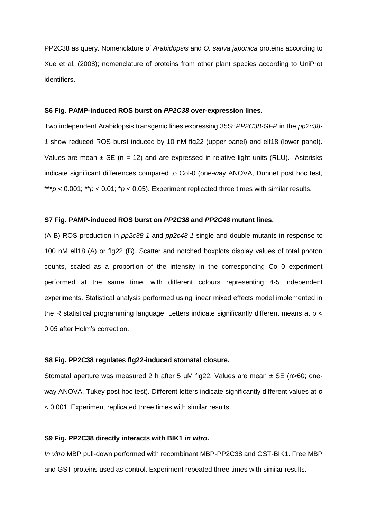PP2C38 as query. Nomenclature of *Arabidopsis* and *O. sativa japonica* proteins according to Xue et al. (2008); nomenclature of proteins from other plant species according to UniProt identifiers.

#### **S6 Fig. PAMP-induced ROS burst on** *PP2C38* **over-expression lines.**

Two independent Arabidopsis transgenic lines expressing 35S::*PP2C38-GFP* in the *pp2c38- 1* show reduced ROS burst induced by 10 nM flg22 (upper panel) and elf18 (lower panel). Values are mean  $\pm$  SE (n = 12) and are expressed in relative light units (RLU). Asterisks indicate significant differences compared to Col-0 (one-way ANOVA, Dunnet post hoc test, \*\*\* $p$  < 0.001; \*\* $p$  < 0.01; \* $p$  < 0.05). Experiment replicated three times with similar results.

#### **S7 Fig. PAMP-induced ROS burst on** *PP2C38* **and** *PP2C48* **mutant lines.**

(A-B) ROS production in *pp2c38-1* and *pp2c48-1* single and double mutants in response to 100 nM elf18 (A) or flg22 (B). Scatter and notched boxplots display values of total photon counts, scaled as a proportion of the intensity in the corresponding Col-0 experiment performed at the same time, with different colours representing 4-5 independent experiments. Statistical analysis performed using linear mixed effects model implemented in the R statistical programming language. Letters indicate significantly different means at p < 0.05 after Holm's correction.

#### **S8 Fig. PP2C38 regulates flg22-induced stomatal closure.**

Stomatal aperture was measured 2 h after 5  $\mu$ M flg22. Values are mean  $\pm$  SE (n>60; oneway ANOVA, Tukey post hoc test). Different letters indicate significantly different values at *p* < 0.001. Experiment replicated three times with similar results.

#### **S9 Fig. PP2C38 directly interacts with BIK1** *in vitro***.**

*In vitro* MBP pull-down performed with recombinant MBP-PP2C38 and GST-BIK1. Free MBP and GST proteins used as control. Experiment repeated three times with similar results.